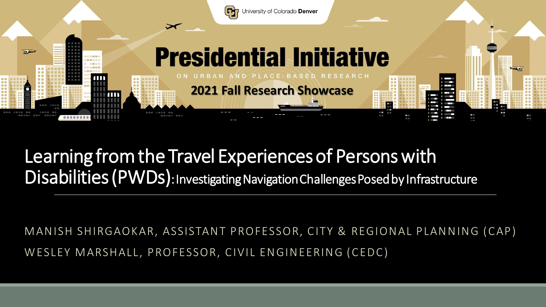

#### Learning from the Travel Experiences of Persons with Disabilities (PWDs): Investigating Navigation Challenges Posed by Infrastructure

MANISH SHIRGAOKAR, ASSISTANT PROFESSOR, CITY & REGIONAL PLANNING (CAP) WESLEY MARSHALL, PROFESSOR, CIVIL ENGINEERING (CEDC)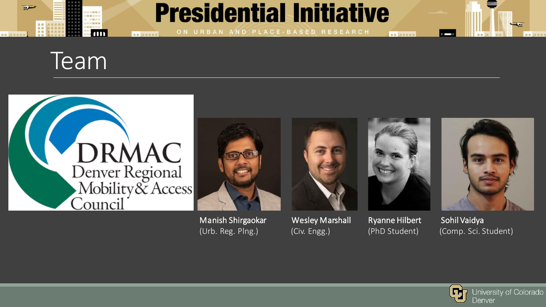

## **Presidential Initiative**

ON URBAN AND PLACE-BASED RESEARCH





**NE MENSE** 



Manish Shirgaokar Wesley Marshall Ryanne Hilbert Sohil Vaidya



**BE NESSE** 



(Urb. Reg. Plng.) (Civ. Engg.) (PhD Student) (Comp. Sci. Student)

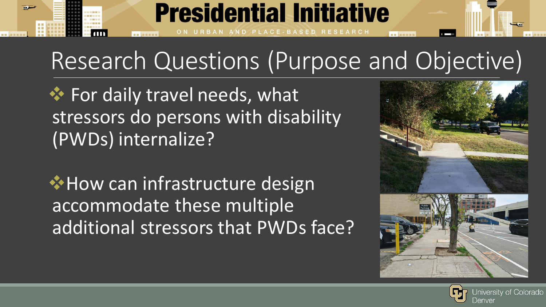# Research Questions (Purpose and Objective)

CE-BASED RESEARCH

**Presidential Initiative** 

❖ For daily travel needs, what stressors do persons with disability (PWDs) internalize?

❖How can infrastructure design accommodate these multiple additional stressors that PWDs face?



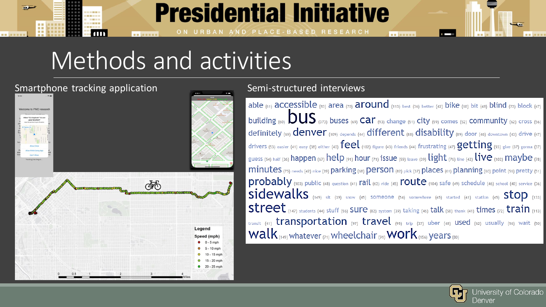

## **Presidential Initiative**

# Methods and activities

#### Smartphone tracking application Semi-structured interviews



able (61)  $accessible$  (83) area (70)  $around$  (113) best (36) better (42) bike (60) bit (48) blind (72) block (47) building (60)  $\bf{DUS}$  (373) buses (69) Car (93) change (51) City (59) comes (52) community (62) cross (56) definitely (69)  $denver$  (109) depends (44) different (88) disability (89) door (46) downtown (43) drive (47) drivers (53) easier (41) easy (38) either (40)  $\mathsf{feel}\xspace$  (102) figure (43) friends (44) frustrating (47)  $\mathsf{getting}\xspace$  (93) give (37) gonna (37) guess (54) half (36) happen (67) help (91) hour (71) issue (59) leave (39) light (76) line (42) live (102) maybe (78) minutes (75) needs (42) nice (39) parking (68) person (82) pick (37) places (61) planning (60) point (56) pretty (51)  $\text{proofaby}$  (103) public (48) question (41) rail (62) ride (45)  $\text{route}$  (104) safe (49) schedule (46) school (40) service (36)  $sidewalks$  (149) sit (39) snow (45) someone (54) somewhere (45) started (41) station (45) Stop (133) street (147) students (44) stuff (56) SUre (82) system (39) taking (46) talk (58) thank (41) times (72) train (113) transit (41) transportation (97) travel (95) trip (37) uber (48) used (62) usually (56) wait (50) Walk  $(149)$  whatever  $(71)$  wheelchair  $(91)$  WOrk  $(156)$  years  $(80)$ 

as beans

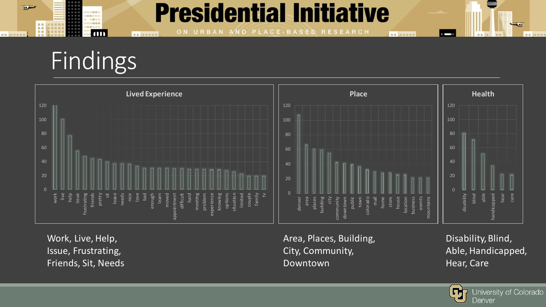### **Presidential Initiative**

PLACE-BASED RESEARCH O<sub>N</sub> URBAN AND



 $\blacksquare$ 

**NO ARRIVE** 

■■国国 田園田田 ----

 $1111$ 

ست

■■ 加盟無料

B



Work, Live, Help, Issue, Frustrating, Friends, Sit, Needs Area, Places, Building, City, Community, Downtown

**BE NESSE** 

Disability, Blind, Able, Handicapped, Hear, Care



œ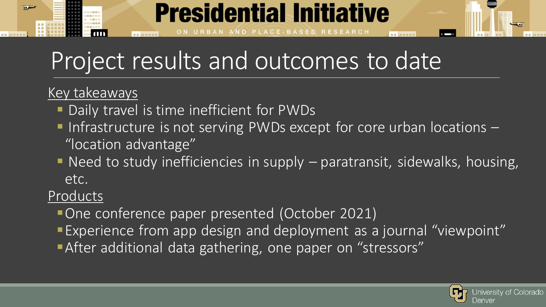# **Presidential Initiative** . . . . . . .

## Project results and outcomes to date

#### Key takeaways

- Daily travel is time inefficient for PWDs
- $\blacksquare$  Infrastructure is not serving PWDs except for core urban locations  $\blacksquare$ "location advantage"
- Need to study inefficiencies in supply paratransit, sidewalks, housing, etc.

#### Products

- ▪One conference paper presented (October 2021)
- **Experience from app design and deployment as a journal "viewpoint"**
- **After additional data gathering, one paper on "stressors"**